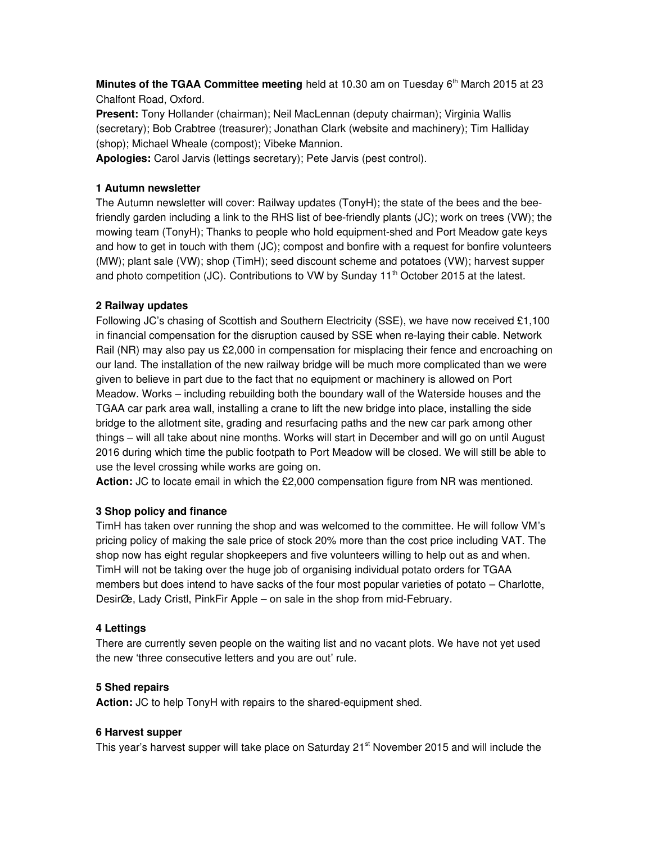**Minutes of the TGAA Committee meeting** held at 10.30 am on Tuesday  $6<sup>th</sup>$  March 2015 at 23 Chalfont Road, Oxford.

Present: Tony Hollander (chairman); Neil MacLennan (deputy chairman); Virginia Wallis (secretary); Bob Crabtree (treasurer); Jonathan Clark (website and machinery); Tim Halliday (shop); Michael Wheale (compost); Vibeke Mannion.

Apologies: Carol Jarvis (lettings secretary); Pete Jarvis (pest control).

# 1 Autumn newsletter

The Autumn newsletter will cover: Railway updates (TonyH); the state of the bees and the beefriendly garden including a link to the RHS list of bee-friendly plants (JC); work on trees (VW); the mowing team (TonyH); Thanks to people who hold equipment-shed and Port Meadow gate keys and how to get in touch with them (JC); compost and bonfire with a request for bonfire volunteers (MW); plant sale (VW); shop (TimH); seed discount scheme and potatoes (VW); harvest supper and photo competition (JC). Contributions to VW by Sunday  $11<sup>th</sup>$  October 2015 at the latest.

# 2 Railway updates

Following JC's chasing of Scottish and Southern Electricity (SSE), we have now received £1,100 in financial compensation for the disruption caused by SSE when re-laying their cable. Network Rail (NR) may also pay us £2,000 in compensation for misplacing their fence and encroaching on our land. The installation of the new railway bridge will be much more complicated than we were given to believe in part due to the fact that no equipment or machinery is allowed on Port Meadow. Works – including rebuilding both the boundary wall of the Waterside houses and the TGAA car park area wall, installing a crane to lift the new bridge into place, installing the side bridge to the allotment site, grading and resurfacing paths and the new car park among other things – will all take about nine months. Works will start in December and will go on until August 2016 during which time the public footpath to Port Meadow will be closed. We will still be able to use the level crossing while works are going on.

Action: JC to locate email in which the £2,000 compensation figure from NR was mentioned.

### 3 Shop policy and finance

TimH has taken over running the shop and was welcomed to the committee. He will follow VM's pricing policy of making the sale price of stock 20% more than the cost price including VAT. The shop now has eight regular shopkeepers and five volunteers willing to help out as and when. TimH will not be taking over the huge job of organising individual potato orders for TGAA members but does intend to have sacks of the four most popular varieties of potato – Charlotte, Desir $\alpha$ e, Lady Cristl, PinkFir Apple – on sale in the shop from mid-February.

### 4 Lettings

There are currently seven people on the waiting list and no vacant plots. We have not yet used the new 'three consecutive letters and you are out' rule.

### 5 Shed repairs

Action: JC to help TonyH with repairs to the shared-equipment shed.

### 6 Harvest supper

This year's harvest supper will take place on Saturday  $21<sup>st</sup>$  November 2015 and will include the